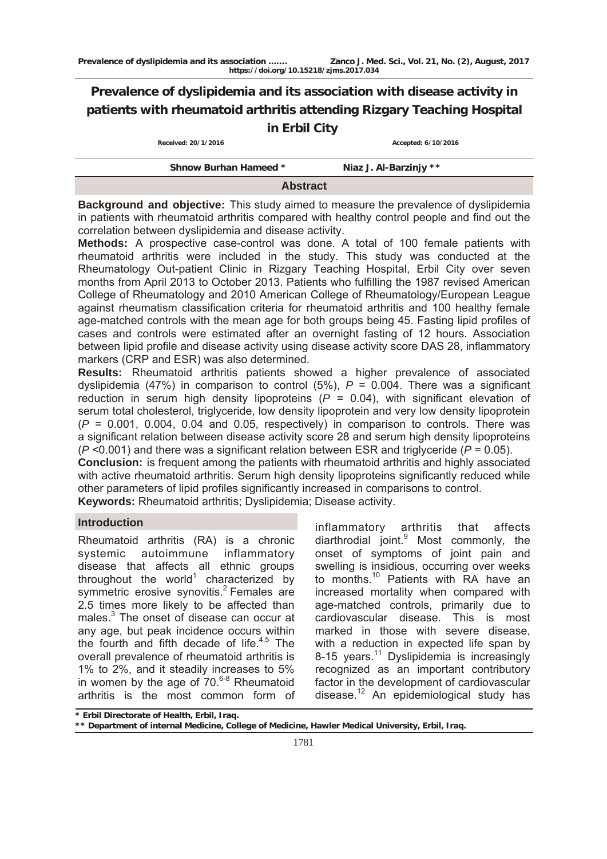# **Prevalence of dyslipidemia and its association with disease activity in patients with rheumatoid arthritis attending Rizgary Teaching Hospital in Erbil City**

| Received: 20/1/2016 |
|---------------------|
|                     |

 **Received: 20/1/2016 Accepted: 6/10/2016**

## **Abstract**

**Background and objective:** This study aimed to measure the prevalence of dyslipidemia in patients with rheumatoid arthritis compared with healthy control people and find out the correlation between dyslipidemia and disease activity.

**Methods:** A prospective case-control was done. A total of 100 female patients with rheumatoid arthritis were included in the study. This study was conducted at the Rheumatology Out-patient Clinic in Rizgary Teaching Hospital, Erbil City over seven months from April 2013 to October 2013. Patients who fulfilling the 1987 revised American College of Rheumatology and 2010 American College of Rheumatology/European League against rheumatism classification criteria for rheumatoid arthritis and 100 healthy female age-matched controls with the mean age for both groups being 45. Fasting lipid profiles of cases and controls were estimated after an overnight fasting of 12 hours. Association between lipid profile and disease activity using disease activity score DAS 28, inflammatory markers (CRP and ESR) was also determined.

**Results:** Rheumatoid arthritis patients showed a higher prevalence of associated dyslipidemia (47%) in comparison to control  $(5\%)$ ,  $P = 0.004$ . There was a significant reduction in serum high density lipoproteins  $(P = 0.04)$ , with significant elevation of serum total cholesterol, triglyceride, low density lipoprotein and very low density lipoprotein  $(P = 0.001, 0.004, 0.04$  and 0.05, respectively) in comparison to controls. There was a significant relation between disease activity score 28 and serum high density lipoproteins (*P* <0.001) and there was a significant relation between ESR and triglyceride (*P* = 0.05).

**Conclusion:** is frequent among the patients with rheumatoid arthritis and highly associated with active rheumatoid arthritis. Serum high density lipoproteins significantly reduced while other parameters of lipid profiles significantly increased in comparisons to control. **Keywords:** Rheumatoid arthritis; Dyslipidemia; Disease activity.

**Introduction** 

Rheumatoid arthritis (RA) is a chronic systemic autoimmune inflammatory disease that affects all ethnic groups throughout the world<sup>1</sup> characterized by symmetric erosive synovitis.<sup>2</sup> Females are 2.5 times more likely to be affected than males.<sup>3</sup> The onset of disease can occur at any age, but peak incidence occurs within the fourth and fifth decade of life. $4,5$  The overall prevalence of rheumatoid arthritis is 1% to 2%, and it steadily increases to 5% in women by the age of  $70.6-8$  Rheumatoid arthritis is the most common form of

inflammatory arthritis that affects diarthrodial joint.<sup>9</sup> Most commonly, the onset of symptoms of joint pain and swelling is insidious, occurring over weeks to months.<sup>10</sup> Patients with RA have an increased mortality when compared with age-matched controls, primarily due to cardiovascular disease. This is most marked in those with severe disease, with a reduction in expected life span by 8-15 years.<sup>11</sup> Dyslipidemia is increasingly recognized as an important contributory factor in the development of cardiovascular disease.<sup>12</sup> An epidemiological study has

**<sup>\*</sup> Erbil Directorate of Health, Erbil, Iraq.** 

**<sup>\*\*</sup> Department of internal Medicine, College of Medicine, Hawler Medical University, Erbil, Iraq.**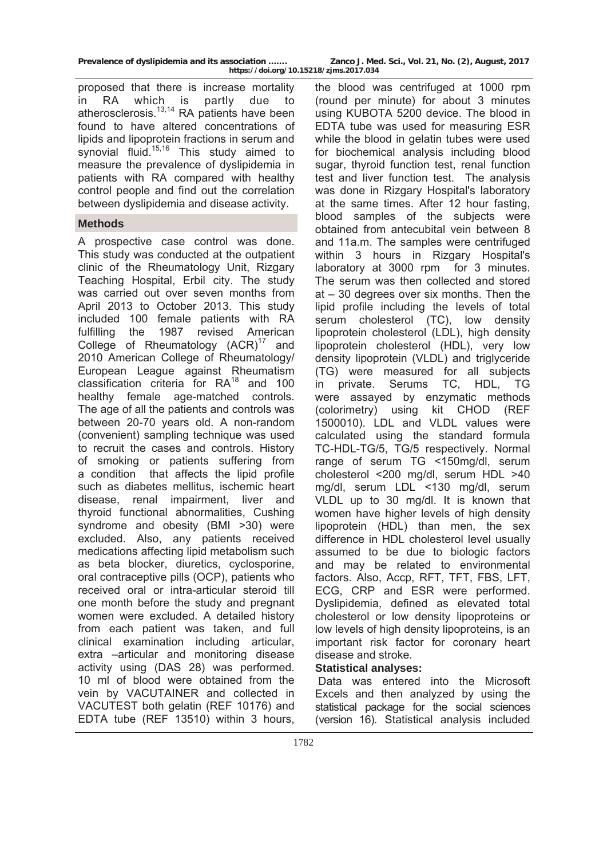**Prevalence of dyslipidemia and its association ……. Zanco J. Med. Sci., Vol. 21, No. (2), August, 2017** 

**https://doi.org/10.15218/zjms.2017.034**

proposed that there is increase mortality in RA which is partly due to atherosclerosis.13,14 RA patients have been found to have altered concentrations of lipids and lipoprotein fractions in serum and synovial fluid.<sup>15,16</sup> This study aimed to measure the prevalence of dyslipidemia in patients with RA compared with healthy control people and find out the correlation between dyslipidemia and disease activity.

# **Methods**

A prospective case control was done. This study was conducted at the outpatient clinic of the Rheumatology Unit, Rizgary Teaching Hospital, Erbil city. The study was carried out over seven months from April 2013 to October 2013. This study included 100 female patients with RA fulfilling the 1987 revised American College of Rheumatology  $(ACR)^{17}$  and 2010 American College of Rheumatology/ European League against Rheumatism classification criteria for RA18 and 100 healthy female age-matched controls. The age of all the patients and controls was between 20-70 years old. A non-random (convenient) sampling technique was used to recruit the cases and controls. History of smoking or patients suffering from a condition that affects the lipid profile such as diabetes mellitus, ischemic heart disease, renal impairment, liver and thyroid functional abnormalities, Cushing syndrome and obesity (BMI >30) were excluded. Also, any patients received medications affecting lipid metabolism such as beta blocker, diuretics, cyclosporine, oral contraceptive pills (OCP), patients who received oral or intra-articular steroid till one month before the study and pregnant women were excluded. A detailed history from each patient was taken, and full clinical examination including articular, extra –articular and monitoring disease activity using (DAS 28) was performed. 10 ml of blood were obtained from the vein by VACUTAINER and collected in VACUTEST both gelatin (REF 10176) and EDTA tube (REF 13510) within 3 hours,

the blood was centrifuged at 1000 rpm (round per minute) for about 3 minutes using KUBOTA 5200 device. The blood in EDTA tube was used for measuring ESR while the blood in gelatin tubes were used for biochemical analysis including blood sugar, thyroid function test, renal function test and liver function test. The analysis was done in Rizgary Hospital's laboratory at the same times. After 12 hour fasting, blood samples of the subjects were obtained from antecubital vein between 8 and 11a.m. The samples were centrifuged within 3 hours in Rizgary Hospital's laboratory at 3000 rpm for 3 minutes. The serum was then collected and stored at – 30 degrees over six months. Then the lipid profile including the levels of total serum cholesterol (TC), low density lipoprotein cholesterol (LDL), high density lipoprotein cholesterol (HDL), very low density lipoprotein (VLDL) and triglyceride (TG) were measured for all subjects in private. Serums TC, HDL, TG were assayed by enzymatic methods (colorimetry) using kit CHOD (REF 1500010). LDL and VLDL values were calculated using the standard formula TC-HDL-TG/5, TG/5 respectively. Normal range of serum TG <150mg/dl, serum cholesterol <200 mg/dl, serum HDL >40 mg/dl, serum LDL <130 mg/dl, serum VLDL up to 30 mg/dl. It is known that women have higher levels of high density lipoprotein (HDL) than men, the sex difference in HDL cholesterol level usually assumed to be due to biologic factors and may be related to environmental factors. Also, Accp, RFT, TFT, FBS, LFT, ECG, CRP and ESR were performed. Dyslipidemia, defined as elevated total cholesterol or low density lipoproteins or low levels of high density lipoproteins, is an important risk factor for coronary heart disease and stroke.

# **Statistical analyses:**

 Data was entered into the Microsoft Excels and then analyzed by using the statistical package for the social sciences (version 16). Statistical analysis included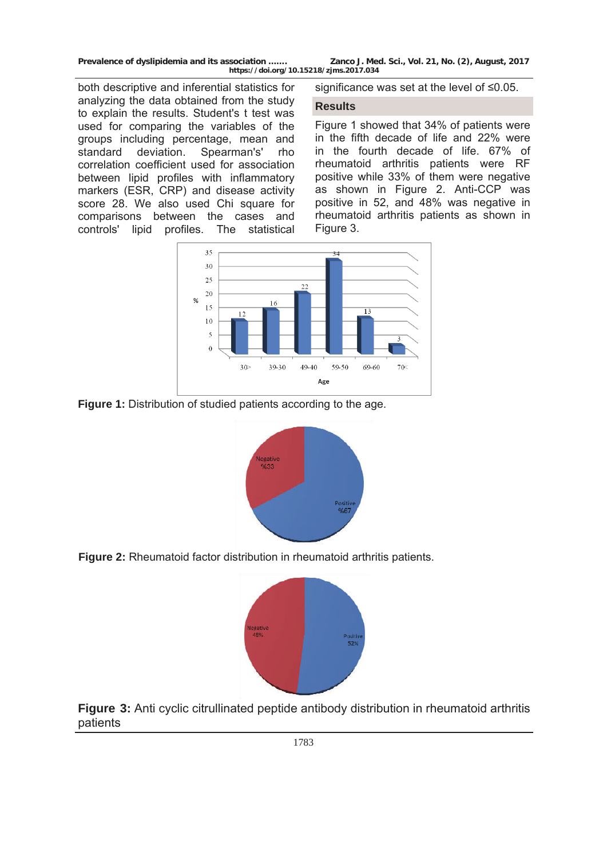**Prevalence of dyslipidemia and its association ……. Zanco J. Med. Sci., Vol. 21, No. (2), August, 2017 https://doi.org/10.15218/zjms.2017.034**

both descriptive and inferential statistics for analyzing the data obtained from the study to explain the results. Student's t test was used for comparing the variables of the groups including percentage, mean and standard deviation. Spearman's' rho correlation coefficient used for association between lipid profiles with inflammatory markers (ESR, CRP) and disease activity score 28. We also used Chi square for comparisons between the cases and controls' lipid profiles. The statistical

significance was set at the level of ≤0.05.

#### **Results**

Figure 1 showed that 34% of patients were in the fifth decade of life and 22% were in the fourth decade of life. 67% of rheumatoid arthritis patients were RF positive while 33% of them were negative as shown in Figure 2. Anti-CCP was positive in 52, and 48% was negative in rheumatoid arthritis patients as shown in Figure 3.



**Figure 1:** Distribution of studied patients according to the age.



**Figure 2:** Rheumatoid factor distribution in rheumatoid arthritis patients.



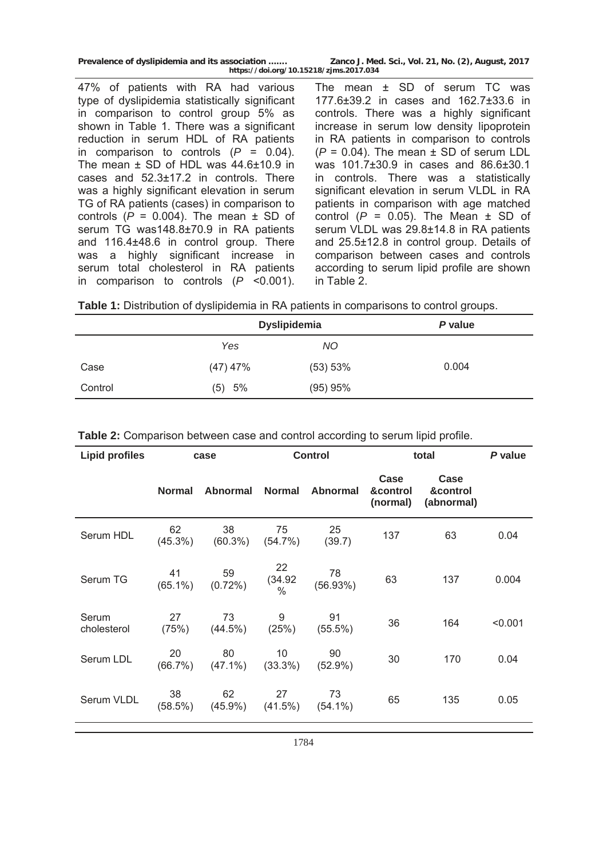| Prevalence of dyslipidemia and its association | Zanco J. Med. Sci., Vol. 21, No. (2), August, 2017 |
|------------------------------------------------|----------------------------------------------------|
| https://doi.org/10.15218/zjms.2017.034         |                                                    |

47% of patients with RA had various type of dyslipidemia statistically significant in comparison to control group 5% as shown in Table 1. There was a significant reduction in serum HDL of RA patients in comparison to controls  $(P = 0.04)$ . The mean ± SD of HDL was 44.6±10.9 in cases and 52.3±17.2 in controls. There was a highly significant elevation in serum TG of RA patients (cases) in comparison to controls  $(P = 0.004)$ . The mean  $\pm$  SD of serum TG was148.8±70.9 in RA patients and 116.4±48.6 in control group. There was a highly significant increase in serum total cholesterol in RA patients in comparison to controls (*P* <0.001).

The mean ± SD of serum TC was 177.6±39.2 in cases and 162.7±33.6 in controls. There was a highly significant increase in serum low density lipoprotein in RA patients in comparison to controls  $(P = 0.04)$ . The mean  $\pm$  SD of serum LDL was 101.7±30.9 in cases and 86.6±30.1 in controls. There was a statistically significant elevation in serum VLDL in RA patients in comparison with age matched control  $(P = 0.05)$ . The Mean  $\pm$  SD of serum VLDL was 29.8±14.8 in RA patients and 25.5±12.8 in control group. Details of comparison between cases and controls according to serum lipid profile are shown in Table 2.

|  |  | Table 1: Distribution of dyslipidemia in RA patients in comparisons to control groups. |  |  |  |
|--|--|----------------------------------------------------------------------------------------|--|--|--|
|--|--|----------------------------------------------------------------------------------------|--|--|--|

|         | <b>Dyslipidemia</b> |          | P value |
|---------|---------------------|----------|---------|
|         | Yes                 | NO.      |         |
| Case    | $(47)$ 47%          | (53) 53% | 0.004   |
| Control | (5) 5%              | (95) 95% |         |

| <b>Lipid profiles</b> |                  | case             | <b>Control</b>                 |                  | total                        |                                | P value |
|-----------------------|------------------|------------------|--------------------------------|------------------|------------------------------|--------------------------------|---------|
|                       | <b>Normal</b>    | <b>Abnormal</b>  | <b>Normal</b>                  | Abnormal         | Case<br>&control<br>(normal) | Case<br>&control<br>(abnormal) |         |
| Serum HDL             | 62<br>$(45.3\%)$ | 38<br>$(60.3\%)$ | 75<br>(54.7%)                  | 25<br>(39.7)     | 137                          | 63                             | 0.04    |
| Serum TG              | 41<br>$(65.1\%)$ | 59<br>$(0.72\%)$ | 22<br>(34.92)<br>$\frac{0}{0}$ | 78<br>(56.93%)   | 63                           | 137                            | 0.004   |
| Serum<br>cholesterol  | 27<br>(75%)      | 73<br>$(44.5\%)$ | 9<br>(25%)                     | 91<br>$(55.5\%)$ | 36                           | 164                            | < 0.001 |
| Serum LDL             | 20<br>$(66.7\%)$ | 80<br>$(47.1\%)$ | 10<br>$(33.3\%)$               | 90<br>$(52.9\%)$ | 30                           | 170                            | 0.04    |
| Serum VLDL            | 38<br>(58.5%)    | 62<br>$(45.9\%)$ | 27<br>$(41.5\%)$               | 73<br>$(54.1\%)$ | 65                           | 135                            | 0.05    |

**Table 2:** Comparison between case and control according to serum lipid profile.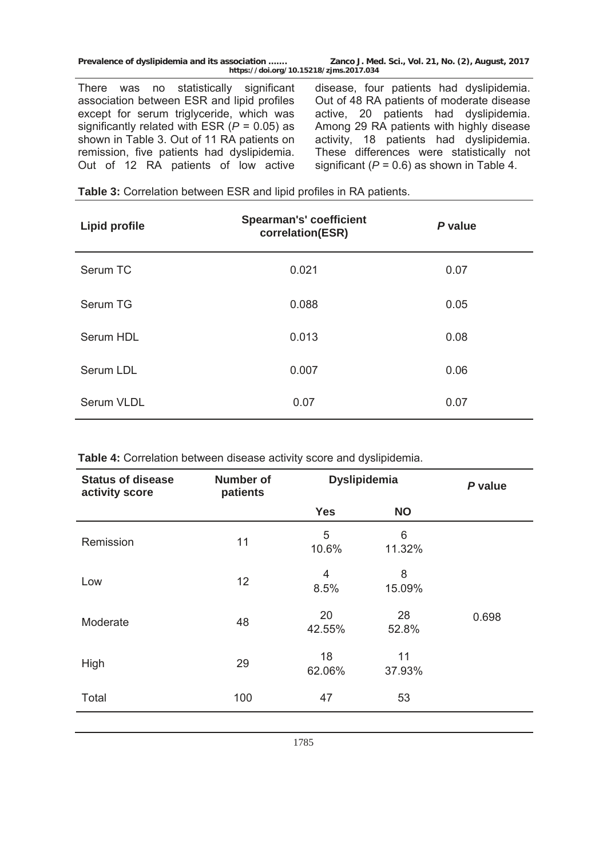**Prevalence of dyslipidemia and its association ……. Zanco J. Med. Sci., Vol. 21, No. (2), August, 2017 https://doi.org/10.15218/zjms.2017.034**

There was no statistically significant association between ESR and lipid profiles except for serum triglyceride, which was significantly related with ESR (*P* = 0.05) as shown in Table 3. Out of 11 RA patients on remission, five patients had dyslipidemia. Out of 12 RA patients of low active

disease, four patients had dyslipidemia. Out of 48 RA patients of moderate disease active, 20 patients had dyslipidemia. Among 29 RA patients with highly disease activity, 18 patients had dyslipidemia. These differences were statistically not significant  $(P = 0.6)$  as shown in Table 4.

| <b>Lipid profile</b> | <b>Spearman's' coefficient</b><br>correlation(ESR) | P value |
|----------------------|----------------------------------------------------|---------|
| Serum TC             | 0.021                                              | 0.07    |
| Serum TG             | 0.088                                              | 0.05    |
| Serum HDL            | 0.013                                              | 0.08    |
| Serum LDL            | 0.007                                              | 0.06    |
| <b>Serum VLDL</b>    | 0.07                                               | 0.07    |

| Table 3: Correlation between ESR and lipid profiles in RA patients. |  |  |
|---------------------------------------------------------------------|--|--|
|---------------------------------------------------------------------|--|--|

**Table 4:** Correlation between disease activity score and dyslipidemia.

| <b>Status of disease</b><br>activity score | <b>Number of</b><br>patients | <b>Dyslipidemia</b>    |              | P value |
|--------------------------------------------|------------------------------|------------------------|--------------|---------|
|                                            |                              | <b>Yes</b>             | <b>NO</b>    |         |
| Remission                                  | 11                           | 5<br>10.6%             | 6<br>11.32%  |         |
| Low                                        | 12                           | $\overline{4}$<br>8.5% | 8<br>15.09%  |         |
| Moderate                                   | 48                           | 20<br>42.55%           | 28<br>52.8%  | 0.698   |
| High                                       | 29                           | 18<br>62.06%           | 11<br>37.93% |         |
| Total                                      | 100                          | 47                     | 53           |         |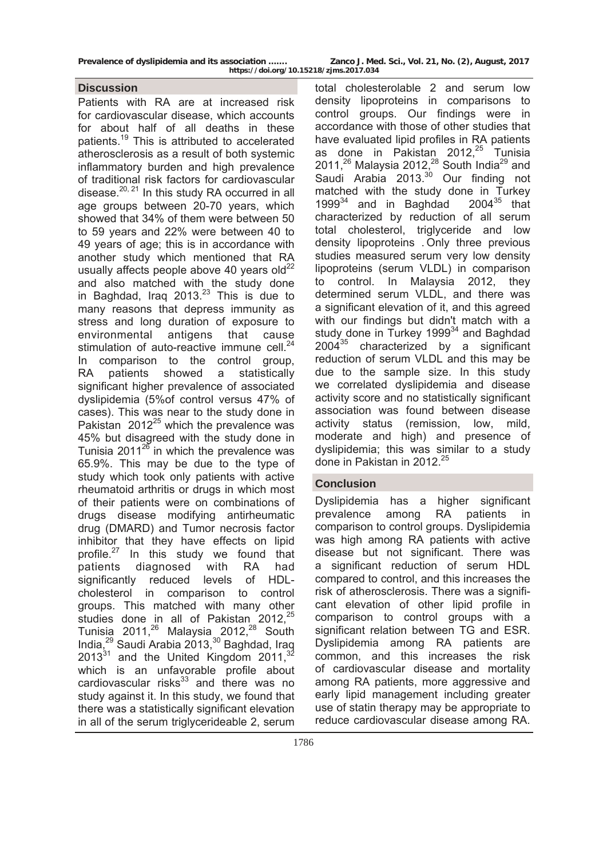## **Discussion**

Patients with RA are at increased risk for cardiovascular disease, which accounts for about half of all deaths in these patients.19 This is attributed to accelerated atherosclerosis as a result of both systemic inflammatory burden and high prevalence of traditional risk factors for cardiovascular disease. $20, 21$  In this study RA occurred in all age groups between 20-70 years, which showed that 34% of them were between 50 to 59 years and 22% were between 40 to 49 years of age; this is in accordance with another study which mentioned that RA usually affects people above 40 years old $^{22}$ and also matched with the study done in Baghdad, Irag  $2013.<sup>23</sup>$  This is due to many reasons that depress immunity as stress and long duration of exposure to environmental antigens that cause stimulation of auto-reactive immune cell.<sup>24</sup> In comparison to the control group, RA patients showed a statistically significant higher prevalence of associated dyslipidemia (5%of control versus 47% of cases). This was near to the study done in Pakistan  $2012^{25}$  which the prevalence was 45% but disagreed with the study done in Tunisia 2011 $^{26}$  in which the prevalence was 65.9%. This may be due to the type of study which took only patients with active rheumatoid arthritis or drugs in which most of their patients were on combinations of drugs disease modifying antirheumatic drug (DMARD) and Tumor necrosis factor inhibitor that they have effects on lipid profile.<sup>27</sup> In this study we found that patients diagnosed with RA had significantly reduced levels of HDLcholesterol in comparison to control groups. This matched with many other studies done in all of Pakistan 2012.<sup>25</sup> Tunisia 2011,<sup>26</sup> Malaysia 2012,<sup>28</sup> South India,<sup>29</sup> Saudi Arabia 2013,<sup>30</sup> Baghdad, Iraq  $2013^{31}$  and the United Kingdom  $2011<sup>32</sup>$ which is an unfavorable profile about cardiovascular risks $33$  and there was no study against it. In this study, we found that there was a statistically significant elevation in all of the serum triglycerideable 2, serum

total cholesterolable 2 and serum low density lipoproteins in comparisons to control groups. Our findings were in accordance with those of other studies that have evaluated lipid profiles in RA patients as done in Pakistan 2012, $25$  Tunisia 2011,<sup>26</sup> Malaysia 2012,<sup>28</sup> South India<sup>29</sup> and Saudi Arabia 2013.<sup>30</sup> Our finding not matched with the study done in Turkey 1999 $34$  and in Baghdad 2004 $35$  that characterized by reduction of all serum total cholesterol, triglyceride and low density lipoproteins . Only three previous studies measured serum very low density lipoproteins (serum VLDL) in comparison to control. In Malaysia 2012, they determined serum VLDL, and there was a significant elevation of it, and this agreed with our findings but didn't match with a study done in Turkey 1999 $34$  and Baghdad  $2004^{35}$  characterized by a significant reduction of serum VLDL and this may be due to the sample size. In this study we correlated dyslipidemia and disease activity score and no statistically significant association was found between disease activity status (remission, low, mild, moderate and high) and presence of dyslipidemia; this was similar to a study done in Pakistan in 2012<sup>25</sup>

# **Conclusion**

Dyslipidemia has a higher significant prevalence among RA patients in comparison to control groups. Dyslipidemia was high among RA patients with active disease but not significant. There was a significant reduction of serum HDL compared to control, and this increases the risk of atherosclerosis. There was a significant elevation of other lipid profile in comparison to control groups with a significant relation between TG and ESR. Dyslipidemia among RA patients are common, and this increases the risk of cardiovascular disease and mortality among RA patients, more aggressive and early lipid management including greater use of statin therapy may be appropriate to reduce cardiovascular disease among RA.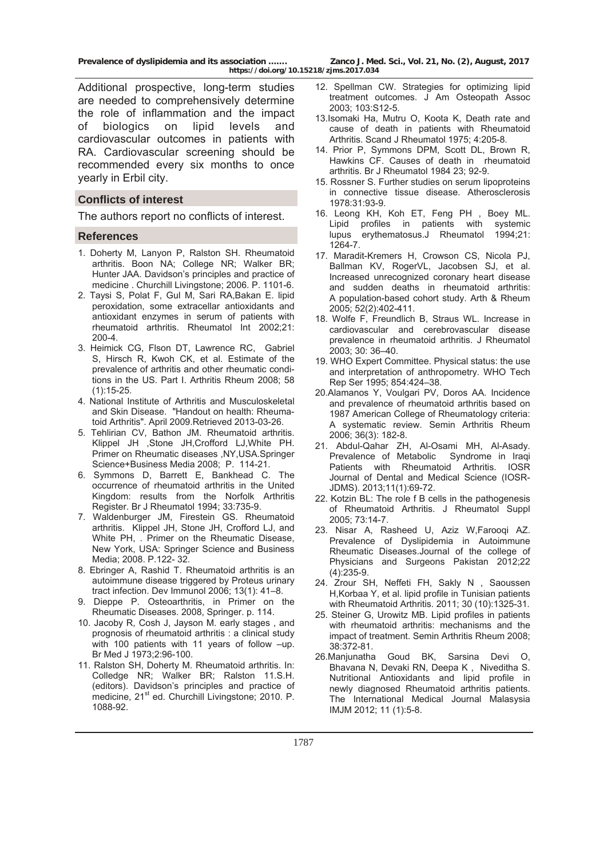**Prevalence of dyslipidemia and its association ……. Zanco J. Med. Sci., Vol. 21, No. (2), August, 2017 https://doi.org/10.15218/zjms.2017.034**

Additional prospective, long-term studies are needed to comprehensively determine the role of inflammation and the impact of biologics on lipid levels and cardiovascular outcomes in patients with RA. Cardiovascular screening should be recommended every six months to once yearly in Erbil city.

## **Conflicts of interest**

The authors report no conflicts of interest.

#### **References**

- 1. Doherty M, Lanyon P, Ralston SH. Rheumatoid arthritis. Boon NA; College NR; Walker BR; Hunter JAA. Davidson's principles and practice of medicine . Churchill Livingstone; 2006. P. 1101-6.
- 2. Taysi S, Polat F, Gul M, Sari RA,Bakan E. lipid peroxidation, some extracellar antioxidants and antioxidant enzymes in serum of patients with rheumatoid arthritis. Rheumatol Int 2002;21: 200-4.
- 3. Heimick CG, Flson DT, Lawrence RC, Gabriel S, Hirsch R, Kwoh CK, et al. Estimate of the prevalence of arthritis and other rheumatic conditions in the US. Part I. Arthritis Rheum 2008; 58 (1):15-25.
- 4. National Institute of Arthritis and Musculoskeletal and Skin Disease. "Handout on health: Rheumatoid Arthritis". April 2009.Retrieved 2013-03-26.
- 5. Tehlirian CV, Bathon JM. Rheumatoid arthritis. Klippel JH ,Stone JH,Crofford LJ,White PH. Primer on Rheumatic diseases ,NY,USA.Springer Science+Business Media 2008; P. 114-21.
- 6. Symmons D, Barrett E, Bankhead C. The occurrence of rheumatoid arthritis in the United Kingdom: results from the Norfolk Arthritis Register. Br J Rheumatol 1994; 33:735-9.
- 7. Waldenburger JM, Firestein GS. Rheumatoid arthritis. Klippel JH, Stone JH, Crofford LJ, and White PH, . Primer on the Rheumatic Disease, New York, USA: Springer Science and Business Media; 2008. P.122- 32.
- 8. Ebringer A, Rashid T. Rheumatoid arthritis is an autoimmune disease triggered by Proteus urinary tract infection. Dev Immunol 2006; 13(1): 41–8.
- 9. Dieppe P. Osteoarthritis, in Primer on the Rheumatic Diseases. 2008, Springer. p. 114.
- 10. Jacoby R, Cosh J, Jayson M. early stages , and prognosis of rheumatoid arthritis : a clinical study with 100 patients with 11 years of follow –up. Br Med J 1973;2:96-100.
- 11. Ralston SH, Doherty M. Rheumatoid arthritis. In: Colledge NR; Walker BR; Ralston 11.S.H. (editors). Davidson's principles and practice of medicine, 21<sup>st</sup> ed. Churchill Livingstone; 2010. P. 1088-92.
- 12. Spellman CW. Strategies for optimizing lipid treatment outcomes. J Am Osteopath Assoc 2003; 103:S12-5.
- 13.Isomaki Ha, Mutru O, Koota K, Death rate and cause of death in patients with Rheumatoid Arthritis. Scand J Rheumatol 1975; 4:205-8.
- 14. Prior P, Symmons DPM, Scott DL, Brown R, Hawkins CF. Causes of death in rheumatoid arthritis. Br J Rheumatol 1984 23; 92-9.
- 15. Rossner S. Further studies on serum lipoproteins in connective tissue disease. Atherosclerosis 1978:31:93-9.
- 16. Leong KH, Koh ET, Feng PH , Boey ML. profiles in patients with systemic lupus erythematosus.J Rheumatol 1994;21: 1264-7.
- 17. Maradit-Kremers H, Crowson CS, Nicola PJ, Ballman KV, RogerVL, Jacobsen SJ, et al. Increased unrecognized coronary heart disease and sudden deaths in rheumatoid arthritis: A population-based cohort study. Arth & Rheum 2005; 52(2):402-411.
- 18. Wolfe F, Freundlich B, Straus WL. Increase in cardiovascular and cerebrovascular disease prevalence in rheumatoid arthritis. J Rheumatol 2003; 30: 36–40.
- 19. WHO Expert Committee. Physical status: the use and interpretation of anthropometry. WHO Tech Rep Ser 1995; 854:424–38.
- 20.Alamanos Y, Voulgari PV, Doros AA. Incidence and prevalence of rheumatoid arthritis based on 1987 American College of Rheumatology criteria: A systematic review. Semin Arthritis Rheum 2006; 36(3): 182-8.
- 21. Abdul-Qahar ZH, Al-Osami MH, Al-Asady. Prevalence of Metabolic Syndrome in Iraqi Patients with Rheumatoid Arthritis. IOSR Journal of Dental and Medical Science (IOSR-JDMS). 2013;11(1):69-72.
- 22. Kotzin BL: The role f B cells in the pathogenesis of Rheumatoid Arthritis. J Rheumatol Suppl 2005; 73:14-7.
- 23. Nisar A, Rasheed U, Aziz W,Farooqi AZ. Prevalence of Dyslipidemia in Autoimmune Rheumatic Diseases.Journal of the college of Physicians and Surgeons Pakistan 2012;22 (4):235-9.
- 24. Zrour SH, Neffeti FH, Sakly N , Saoussen H,Korbaa Y, et al. lipid profile in Tunisian patients with Rheumatoid Arthritis. 2011; 30 (10):1325-31.
- 25. Steiner G, Urowitz MB. Lipid profiles in patients with rheumatoid arthritis: mechanisms and the impact of treatment. Semin Arthritis Rheum 2008; 38:372-81.
- 26.Manjunatha Goud BK, Sarsina Devi O, Bhavana N, Devaki RN, Deepa K , Niveditha S. Nutritional Antioxidants and lipid profile in newly diagnosed Rheumatoid arthritis patients. The International Medical Journal Malasysia IMJM 2012; 11 (1):5-8.